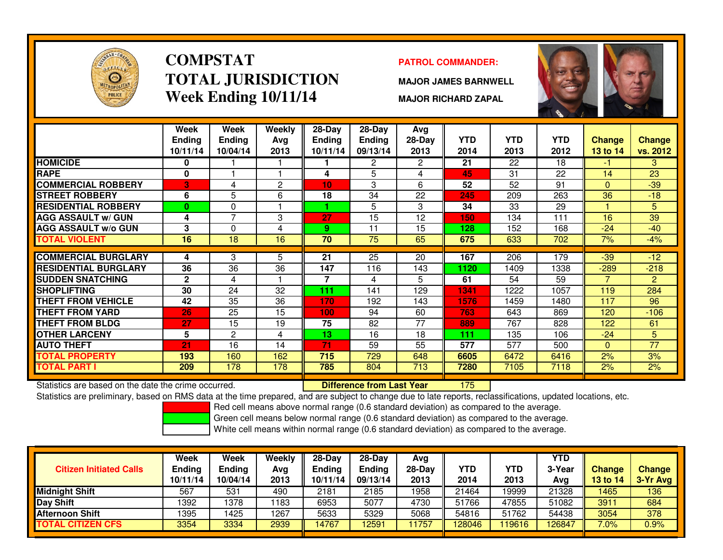

# **COMPSTATTOTAL JURISDICTIONWeek Ending 10/11/14**

### **PATROL COMMANDER:**

**MAJOR JAMES BARNWELL**

**MAJOR RICHARD ZAPAL**



|                             | Week<br>Ending<br>10/11/14 | Week<br><b>Endina</b><br>10/04/14 | Weekly<br>Avg<br>2013 | $28-Day$<br>Ending<br>10/11/14 | $28-Day$<br><b>Ending</b><br>09/13/14 | Avg<br>$28-Day$<br>2013 | <b>YTD</b><br>2014 | <b>YTD</b><br>2013 | <b>YTD</b><br>2012 | <b>Change</b><br>13 to 14 | <b>Change</b><br>vs. 2012 |
|-----------------------------|----------------------------|-----------------------------------|-----------------------|--------------------------------|---------------------------------------|-------------------------|--------------------|--------------------|--------------------|---------------------------|---------------------------|
| <b>HOMICIDE</b>             | 0                          |                                   |                       |                                | $\overline{2}$                        | $\overline{2}$          | 21                 | 22                 | 18                 | -1                        | 3                         |
| <b>RAPE</b>                 | 0                          |                                   |                       | 4                              | 5                                     | 4                       | 45                 | 31                 | 22                 | 14                        | 23                        |
| <b>COMMERCIAL ROBBERY</b>   | 3                          | 4                                 | 2                     | 10                             | 3                                     | 6                       | 52                 | 52                 | 91                 | $\mathbf{0}$              | $-39$                     |
| <b>STREET ROBBERY</b>       | 6                          | 5                                 | 6                     | 18                             | 34                                    | 22                      | 245                | 209                | 263                | 36                        | $-18$                     |
| <b>RESIDENTIAL ROBBERY</b>  | $\mathbf{0}$               | 0                                 |                       |                                | 5                                     | 3                       | 34                 | 33                 | 29                 |                           | 5                         |
| <b>AGG ASSAULT w/ GUN</b>   | 4                          | $\overline{7}$                    | 3                     | 27                             | 15                                    | 12                      | 150                | 134                | 111                | 16                        | 39                        |
| <b>AGG ASSAULT w/o GUN</b>  | 3                          | $\Omega$                          | 4                     | 9                              | 11                                    | 15                      | 128                | 152                | 168                | $-24$                     | $-40$                     |
| <b>TOTAL VIOLENT</b>        | 16                         | 18                                | 16                    | 70                             | 75                                    | 65                      | 675                | 633                | 702                | 7%                        | $-4%$                     |
|                             |                            |                                   |                       |                                |                                       |                         |                    |                    |                    |                           |                           |
| <b>COMMERCIAL BURGLARY</b>  | 4                          | 3                                 | 5                     | 21                             | 25                                    | 20                      | 167                | 206                | 179                | $-39$                     | $-12$                     |
| <b>RESIDENTIAL BURGLARY</b> | 36                         | 36                                | 36                    | 147                            | 116                                   | 143                     | 1120               | 1409               | 1338               | $-289$                    | $-218$                    |
| <b>SUDDEN SNATCHING</b>     | $\mathbf{2}$               | 4                                 |                       |                                | 4                                     | 5.                      | 61                 | 54                 | 59                 | $\overline{7}$            | $\overline{2}$            |
| <b>SHOPLIFTING</b>          | 30                         | 24                                | 32                    | 111                            | 141                                   | 129                     | 1341               | 1222               | 1057               | 119                       | 284                       |
| <b>THEFT FROM VEHICLE</b>   | 42                         | 35                                | 36                    | 170                            | 192                                   | 143                     | 1576               | 1459               | 1480               | 117                       | 96                        |
| <b>THEFT FROM YARD</b>      | 26                         | 25                                | 15                    | 100                            | 94                                    | 60                      | 763                | 643                | 869                | 120                       | $-106$                    |
| <b>THEFT FROM BLDG</b>      | 27                         | 15                                | 19                    | 75                             | 82                                    | 77                      | 889                | 767                | 828                | 122                       | 61                        |
| <b>OTHER LARCENY</b>        | 5                          | $\overline{2}$                    | 4                     | 13 <sub>1</sub>                | 16                                    | 18                      | 111                | 135                | 106                | $-24$                     | 5                         |
| <b>AUTO THEFT</b>           | 21                         | 16                                | 14                    | 71                             | 59                                    | 55                      | 577                | 577                | 500                | $\Omega$                  | 77                        |
| <b>TOTAL PROPERTY</b>       | 193                        | 160                               | 162                   | 715                            | 729                                   | 648                     | 6605               | 6472               | 6416               | 2%                        | 3%                        |
| <b>TOTAL PART I</b>         | 209                        | 178                               | 178                   | 785                            | 804                                   | 713                     | 7280               | 7105               | 7118               | 2%                        | 2%                        |

Statistics are based on the date the crime occurred. **Difference from Last Year** 

Statistics are based on the date the crime occurred. **Extended Lubber 1996 Statistics** are subject to change due to late reports, reclassifications, updated locations, etc.<br>Statistics are preliminary, based on RMS data at

Red cell means above normal range (0.6 standard deviation) as compared to the average.

Green cell means below normal range (0.6 standard deviation) as compared to the average.

| <b>Citizen Initiated Calls</b> | Week<br>Ending<br>10/11/14 | <b>Week</b><br><b>Ending</b><br>10/04/14 | Weekly<br>Avg<br>2013 | $28-Dav$<br><b>Ending</b><br>10/11/14 | $28-Dav$<br><b>Ending</b><br>09/13/14 | Avg<br>$28-Dav$<br>2013 | YTD<br>2014 | YTD<br>2013 | <b>YTD</b><br>3-Year<br>Avg | <b>Change</b><br><b>13 to 14</b> | <b>Change</b><br>3-Yr Avg |
|--------------------------------|----------------------------|------------------------------------------|-----------------------|---------------------------------------|---------------------------------------|-------------------------|-------------|-------------|-----------------------------|----------------------------------|---------------------------|
| <b>Midnight Shift</b>          | 567                        | 531                                      | 490                   | 2181                                  | 2185                                  | 1958                    | 21464       | 19999       | 21328                       | 1465                             | 136                       |
| <b>Day Shift</b>               | 1392                       | 1378                                     | 1183                  | 6953                                  | 5077                                  | 4730                    | 51766       | 47855       | 51082                       | 3911                             | 684                       |
| <b>Afternoon Shift</b>         | 1395                       | 1425                                     | 1267                  | 5633                                  | 5329                                  | 5068                    | 54816       | 51762       | 54438                       | 3054                             | 378                       |
| <b>TOTAL CITIZEN CFS</b>       | 3354                       | 3334                                     | 2939                  | 14767                                 | 12591                                 | 1757                    | 128046      | 19616       | 26847                       | $7.0\%$                          | 0.9%                      |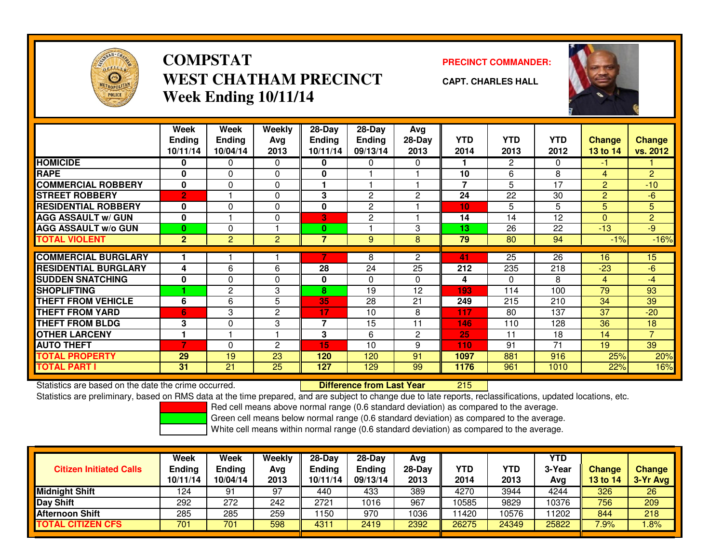

## **COMPSTATWEST CHATHAM PRECINCTWeek Ending 10/11/14**

**PRECINCT COMMANDER:**



**CAPT. CHARLES HALL**

|                             | <b>Week</b><br><b>Ending</b><br>10/11/14 | Week<br><b>Ending</b><br>10/04/14 | Weekly<br>Avg<br>2013 | $28$ -Day<br><b>Ending</b><br>10/11/14 | $28-Day$<br><b>Ending</b><br>09/13/14 | Avg<br>$28-Day$<br>2013 | <b>YTD</b><br>2014 | <b>YTD</b><br>2013 | <b>YTD</b><br>2012 | <b>Change</b><br>13 to 14 | <b>Change</b><br>vs. 2012 |
|-----------------------------|------------------------------------------|-----------------------------------|-----------------------|----------------------------------------|---------------------------------------|-------------------------|--------------------|--------------------|--------------------|---------------------------|---------------------------|
| <b>HOMICIDE</b>             | 0                                        | $\Omega$                          | 0                     | 0                                      | 0                                     | 0                       |                    | 2                  | 0                  | -1                        |                           |
| <b>RAPE</b>                 | 0                                        | $\mathbf{0}$                      | 0                     | 0                                      |                                       |                         | 10                 | 6                  | 8                  | 4                         | $\overline{2}$            |
| <b>COMMERCIAL ROBBERY</b>   | 0                                        | $\mathbf{0}$                      | 0                     | 1                                      |                                       |                         | 7                  | 5                  | 17                 | 2                         | $-10$                     |
| <b>STREET ROBBERY</b>       | $\overline{2}$                           |                                   | 0                     | 3                                      | 2                                     | $\overline{c}$          | 24                 | 22                 | 30                 | $\overline{2}$            | $-6$                      |
| <b>RESIDENTIAL ROBBERY</b>  | 0                                        | $\Omega$                          | 0                     | 0                                      | 2                                     |                         | 10                 | 5                  | 5                  | 5                         | 5                         |
| <b>AGG ASSAULT w/ GUN</b>   | $\bf{0}$                                 |                                   | 0                     | 3                                      | 2                                     |                         | 14                 | 14                 | 12                 | $\Omega$                  | $\overline{2}$            |
| <b>AGG ASSAULT w/o GUN</b>  | 0                                        | $\Omega$                          |                       | $\bf{0}$                               |                                       | 3                       | 13                 | 26                 | 22                 | $-13$                     | $-9$                      |
| <b>TOTAL VIOLENT</b>        | $\mathbf{2}$                             | 2                                 | $\overline{2}$        | 7                                      | 9                                     | 8                       | 79                 | 80                 | 94                 | $-1%$                     | $-16%$                    |
|                             |                                          |                                   |                       |                                        |                                       |                         |                    |                    |                    |                           |                           |
| <b>COMMERCIAL BURGLARY</b>  |                                          |                                   |                       |                                        | 8                                     | $\overline{2}$          | 41                 | 25                 | 26                 | 16                        | 15                        |
| <b>RESIDENTIAL BURGLARY</b> | 4                                        | 6                                 | 6                     | 28                                     | 24                                    | 25                      | 212                | 235                | 218                | $-23$                     | $-6$                      |
| <b>SUDDEN SNATCHING</b>     | 0                                        | $\Omega$                          | 0                     | 0                                      | 0                                     | $\Omega$                | 4                  | $\Omega$           | 8                  | 4                         | $-4$                      |
| <b>SHOPLIFTING</b>          |                                          | 2                                 | 3                     | 8                                      | 19                                    | 12                      | 193                | 114                | 100                | 79                        | 93                        |
| <b>THEFT FROM VEHICLE</b>   | 6                                        | 6                                 | 5                     | 35                                     | 28                                    | 21                      | 249                | 215                | 210                | 34                        | 39                        |
| <b>THEFT FROM YARD</b>      | 6                                        | 3                                 | 2                     | 17                                     | 10                                    | 8                       | 117                | 80                 | 137                | 37                        | $-20$                     |
| <b>THEFT FROM BLDG</b>      | 3                                        | $\Omega$                          | 3                     | $\overline{7}$                         | 15                                    | 11                      | 146                | 110                | 128                | 36                        | 18                        |
| <b>OTHER LARCENY</b>        | 1                                        |                                   |                       | 3                                      | 6                                     | 2                       | 25                 | 11                 | 18                 | 14                        | $\overline{7}$            |
| <b>AUTO THEFT</b>           |                                          | $\Omega$                          | 2                     | 15                                     | 10                                    | 9                       | 110                | 91                 | 71                 | 19                        | 39                        |
| <b>TOTAL PROPERTY</b>       | 29                                       | 19                                | 23                    | 120                                    | 120                                   | 91                      | 1097               | 881                | 916                | 25%                       | 20%                       |
| <b>TOTAL PART I</b>         | 31                                       | 21                                | 25                    | 127                                    | 129                                   | 99                      | 1176               | 961                | 1010               | 22%                       | 16%                       |

Statistics are based on the date the crime occurred. **Difference from Last Year** 

Statistics are based on the date the crime occurred. **Externce to Lube Theodical Cast Year Netwom 215 Lube Pre**<br>Statistics are preliminary, based on RMS data at the time prepared, and are subject to change due to late repo

Red cell means above normal range (0.6 standard deviation) as compared to the average.

Green cell means below normal range (0.6 standard deviation) as compared to the average.

| <b>Citizen Initiated Calls</b> | <b>Week</b><br><b>Ending</b><br>10/11/14 | Week<br><b>Ending</b><br>10/04/14 | Weekly<br>Avg<br>2013 | $28-Day$<br>Ending<br>10/11/14 | 28-Day<br><b>Ending</b><br>09/13/14 | Avg<br>28-Dav<br>2013 | YTD<br>2014 | <b>YTD</b><br>2013 | <b>YTD</b><br>3-Year<br>Avg | <b>Change</b><br><b>13 to 14</b> | <b>Change</b><br>3-Yr Avg |
|--------------------------------|------------------------------------------|-----------------------------------|-----------------------|--------------------------------|-------------------------------------|-----------------------|-------------|--------------------|-----------------------------|----------------------------------|---------------------------|
| <b>Midnight Shift</b>          | 124                                      | 91                                | 97                    | 440                            | 433                                 | 389                   | 4270        | 3944               | 4244                        | 326                              | 26                        |
| Day Shift                      | 292                                      | 272                               | 242                   | 2721                           | 1016                                | 967                   | 10585       | 9829               | 10376                       | 756                              | 209                       |
| <b>Afternoon Shift</b>         | 285                                      | 285                               | 259                   | 150                            | 970                                 | 1036                  | 1420        | 10576              | 1202                        | 844                              | 218                       |
| <b>TOTAL CITIZEN CFS</b>       | 701                                      | 701                               | 598                   | 4311                           | 2419                                | 2392                  | 26275       | 24349              | 25822                       | 7.9%                             | .8%                       |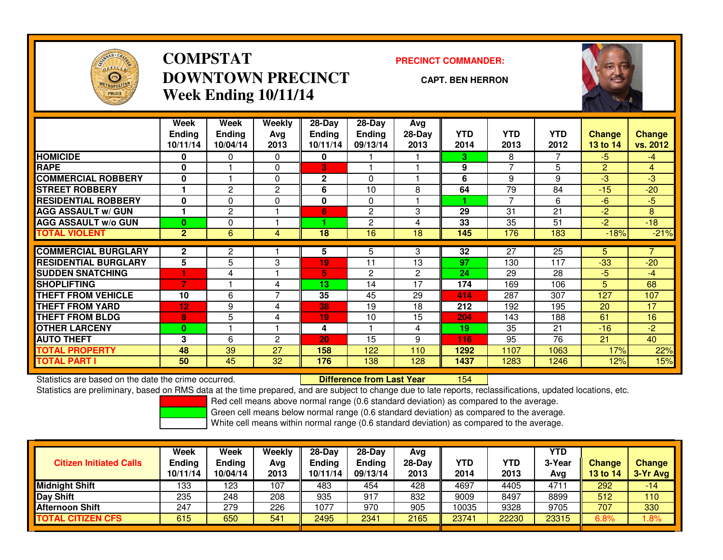

## **COMPSTATDOWNTOWN PRECINCTWeek Ending 10/11/14**

### **PRECINCT COMMANDER:**

### **CAPT. BEN HERRON**

<sup>154</sup>



|                             | Week<br><b>Ending</b> | Week<br><b>Ending</b> | <b>Weekly</b><br>Avg | $28 - Day$<br><b>Ending</b> | $28 - Day$<br><b>Ending</b> | Avg<br>$28-Day$ | <b>YTD</b> | <b>YTD</b>     | <b>YTD</b> | <b>Change</b>  | <b>Change</b> |
|-----------------------------|-----------------------|-----------------------|----------------------|-----------------------------|-----------------------------|-----------------|------------|----------------|------------|----------------|---------------|
|                             | 10/11/14              | 10/04/14              | 2013                 | 10/11/14                    | 09/13/14                    | 2013            | 2014       | 2013           | 2012       | 13 to 14       | vs. 2012      |
| <b>HOMICIDE</b>             | 0                     | 0                     | 0                    | 0                           |                             |                 | 3.         | 8              |            | $-5$           | $-4$          |
| <b>RAPE</b>                 | $\bf{0}$              |                       | 0                    | 3                           |                             |                 | 9          | $\overline{7}$ | 5          | $\overline{2}$ | 4             |
| <b>COMMERCIAL ROBBERY</b>   | 0                     |                       | 0                    | $\mathbf 2$                 | 0                           |                 | 6          | 9              | 9          | $-3$           | $-3$          |
| <b>STREET ROBBERY</b>       |                       | 2                     | $\mathbf{2}$         | 6                           | 10                          | 8               | 64         | 79             | 84         | $-15$          | $-20$         |
| <b>RESIDENTIAL ROBBERY</b>  | 0                     | $\Omega$              | 0                    | 0                           | 0                           |                 |            | $\overline{ }$ | 6          | $-6$           | $-5$          |
| <b>AGG ASSAULT w/ GUN</b>   |                       | $\mathbf{2}$          |                      | 6                           | $\overline{c}$              | 3               | 29         | 31             | 21         | $-2$           | 8             |
| <b>AGG ASSAULT w/o GUN</b>  | $\bf{0}$              | $\Omega$              |                      |                             | $\overline{2}$              | 4               | 33         | 35             | 51         | $-2$           | $-18$         |
| <b>TOTAL VIOLENT</b>        | $\overline{2}$        | 6                     | 4                    | 18                          | 16                          | 18              | 145        | 176            | 183        | $-18%$         | $-21%$        |
| <b>COMMERCIAL BURGLARY</b>  | $\overline{2}$        | 2                     |                      | 5                           | 5                           | 3               | 32         | 27             | 25         | 5              |               |
| <b>RESIDENTIAL BURGLARY</b> | 5                     | 5                     | 3                    | 19                          | 11                          | 13              | 97         | 130            | 117        | $-33$          | $-20$         |
| <b>SUDDEN SNATCHING</b>     |                       | 4                     |                      | 5.                          | 2                           | $\overline{2}$  | 24         | 29             | 28         | $-5$           | $-4$          |
| <b>SHOPLIFTING</b>          | 7                     |                       | 4                    | 13                          | 14                          | 17              | 174        | 169            | 106        | 5              | 68            |
| <b>THEFT FROM VEHICLE</b>   | 10                    | 6                     | $\overline{ }$       | 35                          | 45                          | 29              | 414        | 287            | 307        | 127            | 107           |
| <b>THEFT FROM YARD</b>      | 12                    | 9                     | 4                    | 38                          | 19                          | 18              | 212        | 192            | 195        | 20             | 17            |
| <b>THEFT FROM BLDG</b>      | 8                     | 5                     | 4                    | 19                          | 10                          | 15              | 204        | 143            | 188        | 61             | 16            |
| <b>OTHER LARCENY</b>        | $\bf{0}$              |                       |                      | 4                           |                             | 4               | 19         | 35             | 21         | $-16$          | $-2$          |
| <b>AUTO THEFT</b>           | 3                     | 6                     | $\overline{c}$       | 20                          | 15                          | 9               | 116        | 95             | 76         | 21             | 40            |
| <b>TOTAL PROPERTY</b>       | 48                    | 39                    | 27                   | 158                         | 122                         | 110             | 1292       | 1107           | 1063       | 17%            | 22%           |
| <b>TOTAL PART I</b>         | 50                    | 45                    | 32                   | 176                         | 138                         | 128             | 1437       | 1283           | 1246       | 12%            | 15%           |

Statistics are based on the date the crime occurred. **Difference from Last Year** 

Statistics are preliminary, based on RMS data at the time prepared, and are subject to change due to late reports, reclassifications, updated locations, etc.

Red cell means above normal range (0.6 standard deviation) as compared to the average.

Green cell means below normal range (0.6 standard deviation) as compared to the average.

| <b>Citizen Initiated Calls</b> | <b>Week</b><br><b>Ending</b><br>10/11/14 | Week<br><b>Ending</b><br>10/04/14 | Weekly<br>Avg<br>2013 | $28-Dav$<br><b>Ending</b><br>10/11/14 | $28-Dav$<br>Ending<br>09/13/14 | Avg<br>$28-Day$<br>2013 | YTD<br>2014 | <b>YTD</b><br>2013 | <b>YTD</b><br>3-Year<br>Avg | <b>Change</b><br>13 to 14 | <b>Change</b><br>$3-Yr$ Avg |
|--------------------------------|------------------------------------------|-----------------------------------|-----------------------|---------------------------------------|--------------------------------|-------------------------|-------------|--------------------|-----------------------------|---------------------------|-----------------------------|
| Midnight Shift                 | 133                                      | 123                               | 107                   | 483                                   | 454                            | 428                     | 4697        | 4405               | 4711                        | 292                       | -14                         |
| Day Shift                      | 235                                      | 248                               | 208                   | 935                                   | 917                            | 832                     | 9009        | 8497               | 8899                        | 512                       | 110                         |
| <b>Afternoon Shift</b>         | 247                                      | 279                               | 226                   | 1077                                  | 970                            | 905                     | 10035       | 9328               | 9705                        | 707                       | 330                         |
| <b>TOTAL CITIZEN CFS</b>       | 615                                      | 650                               | 541                   | 2495                                  | 2341                           | 2165                    | 23741       | 22230              | 23315                       | 6.8%                      | $1.8\%$                     |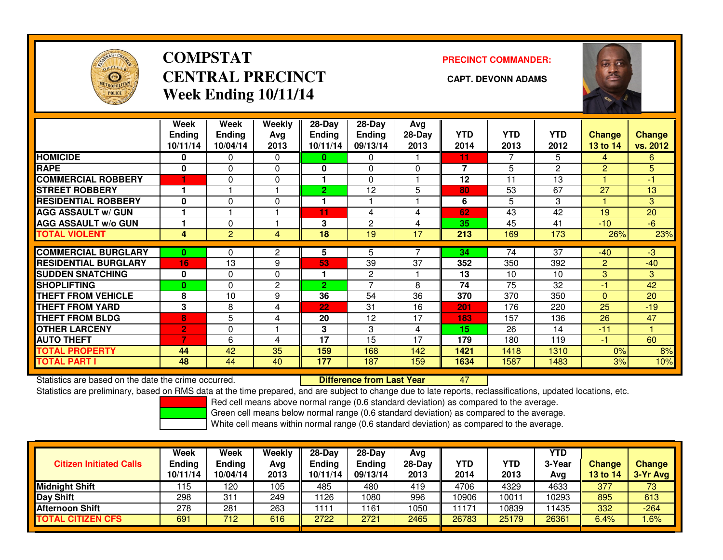

## **COMPSTATCENTRAL PRECINCT CAPT. DEVONN ADAMSWeek Ending 10/11/14**

**PRECINCT COMMANDER:**



|                             | Week<br><b>Ending</b><br>10/11/14 | Week<br><b>Ending</b><br>10/04/14 | <b>Weekly</b><br>Ava<br>2013 | $28$ -Day<br>Ending<br>10/11/14 | $28 - Day$<br><b>Ending</b><br>09/13/14 | Avg<br>$28-Day$<br>2013 | <b>YTD</b><br>2014 | <b>YTD</b><br>2013 | <b>YTD</b><br>2012 | Change<br><b>13 to 14</b> | <b>Change</b><br>vs. 2012 |
|-----------------------------|-----------------------------------|-----------------------------------|------------------------------|---------------------------------|-----------------------------------------|-------------------------|--------------------|--------------------|--------------------|---------------------------|---------------------------|
| <b>HOMICIDE</b>             | 0                                 | $\Omega$                          | $\Omega$                     | 0                               | 0                                       |                         | 11                 | 7                  | 5.                 | 4                         | 6.                        |
| <b>RAPE</b>                 | $\mathbf 0$                       | $\Omega$                          | 0                            | 0                               | 0                                       | 0                       | 7                  | 5                  | 2                  | 2                         | 5                         |
| <b>COMMERCIAL ROBBERY</b>   | 1                                 | 0                                 | 0                            |                                 | $\Omega$                                |                         | 12                 | 11                 | 13                 |                           | -1                        |
| <b>STREET ROBBERY</b>       |                                   |                                   |                              | $\overline{2}$                  | 12                                      | 5                       | 80                 | 53                 | 67                 | 27                        | 13                        |
| <b>RESIDENTIAL ROBBERY</b>  | $\bf{0}$                          | $\Omega$                          | $\Omega$                     |                                 |                                         |                         | 6                  | 5                  | 3                  |                           | 3                         |
| <b>AGG ASSAULT w/ GUN</b>   |                                   |                                   |                              | 11                              | 4                                       | 4                       | 62                 | 43                 | 42                 | 19                        | 20                        |
| <b>AGG ASSAULT w/o GUN</b>  |                                   | $\Omega$                          |                              | 3                               | 2                                       | 4                       | 35                 | 45                 | 41                 | $-10$                     | $-6$                      |
| <b>TOTAL VIOLENT</b>        | 4                                 | $\overline{2}$                    | 4                            | 18                              | 19                                      | 17                      | 213                | 169                | 173                | 26%                       | 23%                       |
| <b>COMMERCIAL BURGLARY</b>  | $\bf{0}$                          | 0                                 | 2                            | 5                               | 5                                       |                         | 34                 | 74                 | 37                 | $-40$                     | $-3$                      |
| <b>RESIDENTIAL BURGLARY</b> | 16                                | 13                                | 9                            | 53                              | 39                                      | 37                      | 352                | 350                | 392                | 2                         | $-40$                     |
| <b>SUDDEN SNATCHING</b>     | $\mathbf{0}$                      | $\Omega$                          | $\Omega$                     |                                 | 2                                       |                         | 13                 | 10                 | 10                 | 3                         | 3 <sup>°</sup>            |
|                             |                                   |                                   |                              |                                 | $\overline{\phantom{a}}$                | 8                       |                    |                    |                    | -1                        |                           |
| <b>SHOPLIFTING</b>          | $\bf{0}$                          | 0                                 | $\overline{c}$               | $\overline{2}$                  |                                         |                         | 74                 | 75                 | 32                 |                           | 42                        |
| <b>THEFT FROM VEHICLE</b>   | 8                                 | 10                                | 9                            | 36                              | 54                                      | 36                      | 370                | 370                | 350                | $\Omega$                  | 20                        |
| <b>THEFT FROM YARD</b>      | 3                                 | 8                                 | 4                            | 22                              | 31                                      | 16                      | 201                | 176                | 220                | 25                        | $-19$                     |
| <b>THEFT FROM BLDG</b>      | 8                                 | 5                                 | 4                            | 20                              | 12                                      | 17                      | 183                | 157                | 136                | 26                        | 47                        |
| <b>OTHER LARCENY</b>        | $\overline{2}$                    | 0                                 |                              | 3                               | 3                                       | 4                       | 15                 | 26                 | 14                 | $-11$                     |                           |
| <b>AUTO THEFT</b>           | 7                                 | 6                                 | 4                            | 17                              | 15                                      | 17                      | 179                | 180                | 119                | -1                        | 60                        |
| <b>TOTAL PROPERTY</b>       | 44                                | 42                                | 35                           | 159                             | 168                                     | 142                     | 1421               | 1418               | 1310               | 0%                        | 8%                        |
| <b>TOTAL PART I</b>         | 48                                | 44                                | 40                           | 177                             | 187                                     | 159                     | 1634               | 1587               | 1483               | 3%                        | 10%                       |

Statistics are based on the date the crime occurred. **Difference from Last Year** 

Statistics are based on the date the crime occurred. **Externee the Luid Confference from Last Year Mated Act Lu**<br>Statistics are preliminary, based on RMS data at the time prepared, and are subject to change due to late rep

Red cell means above normal range (0.6 standard deviation) as compared to the average.

Green cell means below normal range (0.6 standard deviation) as compared to the average.

| <b>Citizen Initiated Calls</b> | Week<br><b>Ending</b><br>10/11/14 | <b>Week</b><br><b>Ending</b><br>10/04/14 | Weekly<br>Avg<br>2013 | $28-Day$<br><b>Ending</b><br>10/11/14 | $28$ -Dav<br><b>Ending</b><br>09/13/14 | Avg<br>28-Day<br>2013 | YTD<br>2014 | <b>YTD</b><br>2013 | <b>YTD</b><br>3-Year<br>Avg | <b>Change</b><br>13 to 14 | <b>Change</b><br>3-Yr Avg |
|--------------------------------|-----------------------------------|------------------------------------------|-----------------------|---------------------------------------|----------------------------------------|-----------------------|-------------|--------------------|-----------------------------|---------------------------|---------------------------|
| <b>Midnight Shift</b>          | ' 15                              | 120                                      | 105                   | 485                                   | 480                                    | 419                   | 4706        | 4329               | 4633                        | 377                       | 73                        |
| Day Shift                      | 298                               | 31                                       | 249                   | 126                                   | 1080                                   | 996                   | 10906       | 10011              | 0293                        | 895                       | 613                       |
| Afternoon Shift                | 278                               | 281                                      | 263                   | 111                                   | 1161                                   | 1050                  | 1171        | 10839              | 1435                        | 332                       | $-264$                    |
| <b>TOTAL CITIZEN CFS</b>       | 691                               | 712                                      | 616                   | 2722                                  | 2721                                   | 2465                  | 26783       | 25179              | 26361                       | 6.4%                      | .6%                       |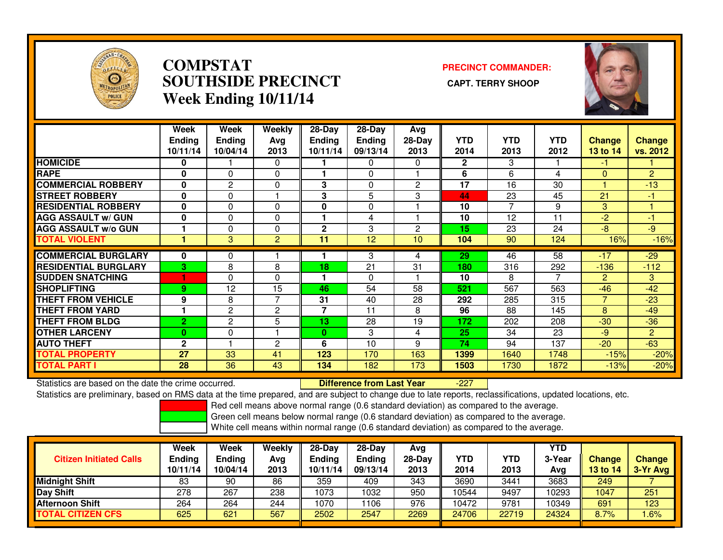

### **COMPSTAT PRECINCT COMMANDER: SOUTHSIDE PRECINCT CAPT. TERRY SHOOPWeek Ending 10/11/14**



|                             | Week<br><b>Ending</b><br>10/11/14 | Week<br><b>Ending</b><br>10/04/14 | <b>Weekly</b><br>Ava<br>2013 | 28-Day<br><b>Ending</b><br>10/11/14 | $28-Day$<br>Ending<br>09/13/14 | Avg<br>$28-Day$<br>2013 | <b>YTD</b><br>2014 | <b>YTD</b><br>2013 | <b>YTD</b><br>2012 | <b>Change</b><br>13 to 14 | <b>Change</b><br>vs. 2012 |
|-----------------------------|-----------------------------------|-----------------------------------|------------------------------|-------------------------------------|--------------------------------|-------------------------|--------------------|--------------------|--------------------|---------------------------|---------------------------|
| <b>HOMICIDE</b>             | 0                                 |                                   | 0                            |                                     | 0                              | 0                       | $\mathbf{2}$       | 3                  |                    | -1                        |                           |
| <b>RAPE</b>                 | $\bf{0}$                          | $\Omega$                          | 0                            |                                     | $\Omega$                       |                         | 6                  | 6                  | 4                  | $\Omega$                  | $\overline{2}$            |
| <b>COMMERCIAL ROBBERY</b>   | 0                                 | 2                                 | 0                            | 3                                   | 0                              | 2                       | 17                 | 16                 | 30                 |                           | $-13$                     |
| <b>ISTREET ROBBERY</b>      | $\bf{0}$                          | 0                                 |                              | 3                                   | 5                              | 3                       | 44                 | 23                 | 45                 | 21                        | -1                        |
| <b>RESIDENTIAL ROBBERY</b>  | $\bf{0}$                          | 0                                 | 0                            | 0                                   | 0                              |                         | 10                 | 7                  | 9                  | 3                         |                           |
| <b>AGG ASSAULT w/ GUN</b>   | 0                                 | 0                                 | 0                            |                                     | 4                              |                         | 10                 | 12                 | 11                 | -2                        | -1                        |
| <b>AGG ASSAULT w/o GUN</b>  |                                   | 0                                 | 0                            | $\mathbf 2$                         | 3                              | 2                       | 15                 | 23                 | 24                 | -8                        | $-9$                      |
| <b>TOTAL VIOLENT</b>        |                                   | 3                                 | $\overline{2}$               | 11                                  | 12                             | 10                      | 104                | 90                 | 124                | 16%                       | $-16%$                    |
| <b>COMMERCIAL BURGLARY</b>  | 0                                 | 0                                 |                              |                                     | 3                              | 4                       | 29                 | 46                 | 58                 | $-17$                     | $-29$                     |
| <b>RESIDENTIAL BURGLARY</b> | 3                                 | 8                                 | 8                            | 18                                  | 21                             | 31                      | 180                | 316                | 292                | $-136$                    | $-112$                    |
| <b>ISUDDEN SNATCHING</b>    |                                   | 0                                 | 0                            | 1                                   | 0                              |                         | 10                 | 8                  | 7                  | 2                         | 3                         |
| <b>SHOPLIFTING</b>          | 9                                 | 12                                | 15                           | 46                                  | 54                             | 58                      | 521                | 567                | 563                | $-46$                     | $-42$                     |
| <b>THEFT FROM VEHICLE</b>   | 9                                 | 8                                 | $\overline{7}$               | 31                                  | 40                             | 28                      | 292                | 285                | 315                | $\overline{7}$            | $-23$                     |
| <b>THEFT FROM YARD</b>      |                                   | $\mathbf{2}$                      | 2                            | 7                                   | 11                             | 8                       | 96                 | 88                 | 145                | 8                         | $-49$                     |
| <b>THEFT FROM BLDG</b>      | $\overline{2}$                    | $\overline{2}$                    | 5                            | 13                                  | 28                             | 19                      | 172                | 202                | 208                | $-30$                     | $-36$                     |
| <b>OTHER LARCENY</b>        | $\bf{0}$                          | 0                                 |                              | $\bf{0}$                            | 3                              | 4                       | 25                 | 34                 | 23                 | $-9$                      | $\overline{2}$            |
| <b>AUTO THEFT</b>           | $\mathbf{2}$                      |                                   | 2                            | 6                                   | 10                             | 9                       | 74                 | 94                 | 137                | $-20$                     | $-63$                     |
| <b>TOTAL PROPERTY</b>       | 27                                | 33                                | 41                           | 123                                 | 170                            | 163                     | 1399               | 1640               | 1748               | $-15%$                    | $-20%$                    |
| <b>TOTAL PART I</b>         | 28                                | 36                                | 43                           | 134                                 | 182                            | 173                     | 1503               | 1730               | 1872               | $-13%$                    | $-20%$                    |

Statistics are based on the date the crime occurred. **Difference from Last Year** 

-227

Statistics are preliminary, based on RMS data at the time prepared, and are subject to change due to late reports, reclassifications, updated locations, etc.

Red cell means above normal range (0.6 standard deviation) as compared to the average.

Green cell means below normal range (0.6 standard deviation) as compared to the average.

|                                | Week                      | Week                      | Weekly      | $28-Day$                  | $28$ -Day                 | Avg            |             |             | YTD          |                    |                           |
|--------------------------------|---------------------------|---------------------------|-------------|---------------------------|---------------------------|----------------|-------------|-------------|--------------|--------------------|---------------------------|
| <b>Citizen Initiated Calls</b> | <b>Ending</b><br>10/11/14 | <b>Ending</b><br>10/04/14 | Avg<br>2013 | <b>Ending</b><br>10/11/14 | <b>Ending</b><br>09/13/14 | 28-Dav<br>2013 | YTD<br>2014 | YTD<br>2013 | 3-Yea<br>Avq | Change<br>13 to 14 | <b>Change</b><br>3-Yr Avg |
| <b>Midnight Shift</b>          | 83                        | 90                        | 86          | 359                       | 409                       | 343            | 3690        | 3441        | 3683         | 249                |                           |
| Day Shift                      | 278                       | 267                       | 238         | 1073                      | 1032                      | 950            | 10544       | 9497        | 10293        | 1047               | 251                       |
| <b>Afternoon Shift</b>         | 264                       | 264                       | 244         | 1070                      | 106                       | 976            | 10472       | 9781        | 10349        | 691                | 123                       |
| <b>TOTAL CITIZEN CFS</b>       | 625                       | 621                       | 567         | 2502                      | 2547                      | 2269           | 24706       | 22719       | 24324        | 8.7%               | .6%                       |